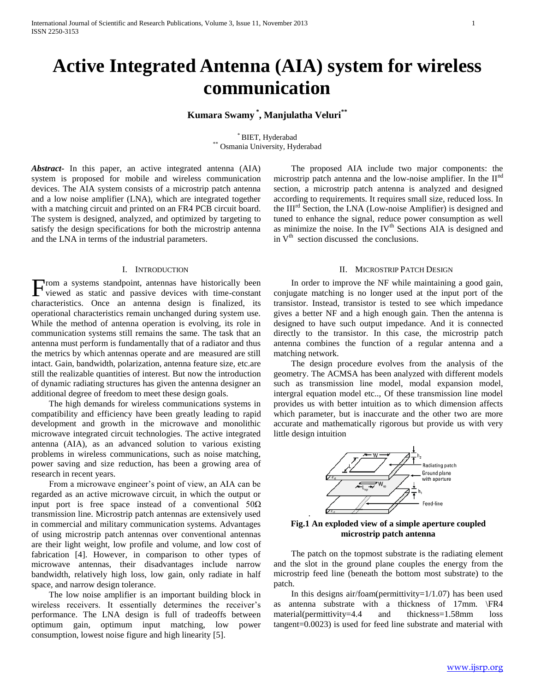# **Active Integrated Antenna (AIA) system for wireless communication**

# **Kumara Swamy \* , Manjulatha Veluri\*\***

\* BIET, Hyderabad \*\* Osmania University, Hyderabad

*Abstract***-** In this paper, an active integrated antenna (AIA) system is proposed for mobile and wireless communication devices. The AIA system consists of a microstrip patch antenna and a low noise amplifier (LNA), which are integrated together with a matching circuit and printed on an FR4 PCB circuit board. The system is designed, analyzed, and optimized by targeting to satisfy the design specifications for both the microstrip antenna and the LNA in terms of the industrial parameters.

# I. INTRODUCTION

rom a systems standpoint, antennas have historically been From a systems standpoint, antennas have historically been viewed as static and passive devices with time-constant characteristics. Once an antenna design is finalized, its operational characteristics remain unchanged during system use. While the method of antenna operation is evolving, its role in communication systems still remains the same. The task that an antenna must perform is fundamentally that of a radiator and thus the metrics by which antennas operate and are measured are still intact. Gain, bandwidth, polarization, antenna feature size, etc.are still the realizable quantities of interest. But now the introduction of dynamic radiating structures has given the antenna designer an additional degree of freedom to meet these design goals.

 The high demands for wireless communications systems in compatibility and efficiency have been greatly leading to rapid development and growth in the microwave and monolithic microwave integrated circuit technologies. The active integrated antenna (AIA), as an advanced solution to various existing problems in wireless communications, such as noise matching, power saving and size reduction, has been a growing area of research in recent years.

 From a microwave engineer's point of view, an AIA can be regarded as an active microwave circuit, in which the output or input port is free space instead of a conventional  $50\Omega$ transmission line. Microstrip patch antennas are extensively used in commercial and military communication systems. Advantages of using microstrip patch antennas over conventional antennas are their light weight, low profile and volume, and low cost of fabrication [4]. However, in comparison to other types of microwave antennas, their disadvantages include narrow bandwidth, relatively high loss, low gain, only radiate in half space, and narrow design tolerance.

 The low noise amplifier is an important building block in wireless receivers. It essentially determines the receiver's performance. The LNA design is full of tradeoffs between optimum gain, optimum input matching, low power consumption, lowest noise figure and high linearity [5].

 The proposed AIA include two major components: the microstrip patch antenna and the low-noise amplifier. In the  $II<sup>nd</sup>$ section, a microstrip patch antenna is analyzed and designed according to requirements. It requires small size, reduced loss. In the III<sup>rd</sup> Section, the LNA (Low-noise Amplifier) is designed and tuned to enhance the signal, reduce power consumption as well as minimize the noise. In the  $IV<sup>th</sup>$  Sections AIA is designed and in  $V<sup>th</sup>$  section discussed the conclusions.

# II. MICROSTRIP PATCH DESIGN

 In order to improve the NF while maintaining a good gain, conjugate matching is no longer used at the input port of the transistor. Instead, transistor is tested to see which impedance gives a better NF and a high enough gain. Then the antenna is designed to have such output impedance. And it is connected directly to the transistor. In this case, the microstrip patch antenna combines the function of a regular antenna and a matching network.

 The design procedure evolves from the analysis of the geometry. The ACMSA has been analyzed with different models such as transmission line model, modal expansion model, intergral equation model etc.., Of these transmission line model provides us with better intuition as to which dimension affects which parameter, but is inaccurate and the other two are more accurate and mathematically rigorous but provide us with very little design intuition



**Fig.1 An exploded view of a simple aperture coupled microstrip patch antenna**

.

 The patch on the topmost substrate is the radiating element and the slot in the ground plane couples the energy from the microstrip feed line (beneath the bottom most substrate) to the patch.

 In this designs air/foam(permittivity=1/1.07) has been used as antenna substrate with a thickness of 17mm. \FR4 material(permittivity=4.4 and thickness=1.58mm loss tangent=0.0023) is used for feed line substrate and material with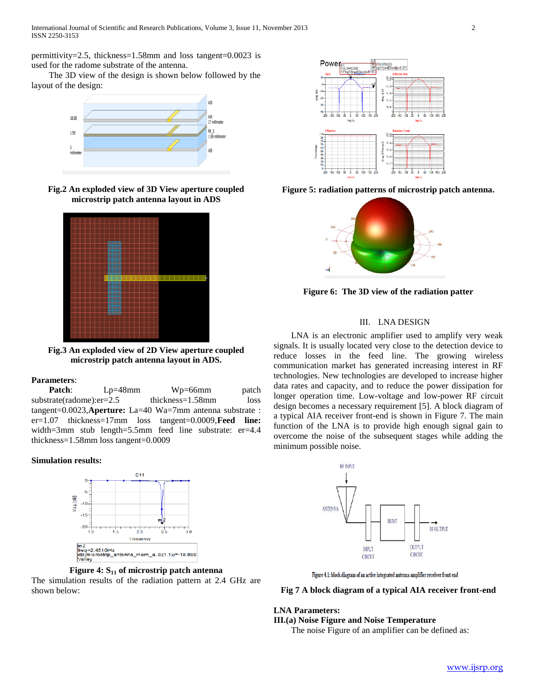permittivity=2.5, thickness=1.58mm and loss tangent=0.0023 is used for the radome substrate of the antenna.

 The 3D view of the design is shown below followed by the layout of the design:



**Fig.2 An exploded view of 3D View aperture coupled microstrip patch antenna layout in ADS**



**Fig.3 An exploded view of 2D View aperture coupled microstrip patch antenna layout in ADS.**

# **Parameters**:

Patch: Lp=48mm Wp=66mm patch substrate(radome):er=2.5 thickness=1.58mm loss tangent=0.0023,**Aperture:** La=40 Wa=7mm antenna substrate : er=1.07 thickness=17mm loss tangent=0.0009,**Feed line:** width=3mm stub length=5.5mm feed line substrate: er=4.4 thickness=1.58mm loss tangent=0.0009

# **Simulation results:**





The simulation results of the radiation pattern at 2.4 GHz are shown below:



**Figure 5: radiation patterns of microstrip patch antenna.**



**Figure 6: The 3D view of the radiation patter**

# III. LNA DESIGN

 LNA is an electronic amplifier used to amplify very weak signals. It is usually located very close to the detection device to reduce losses in the feed line. The growing wireless communication market has generated increasing interest in RF technologies. New technologies are developed to increase higher data rates and capacity, and to reduce the power dissipation for longer operation time. Low-voltage and low-power RF circuit design becomes a necessary requirement [5]. A block diagram of a typical AIA receiver front-end is shown in Figure 7. The main function of the LNA is to provide high enough signal gain to overcome the noise of the subsequent stages while adding the minimum possible noise.



Figure 4.1: block diagram of an active integrated antenna amplifier receiver front end

#### **Fig 7 A block diagram of a typical AIA receiver front-end**

# **LNA Parameters:**

**III.(a) Noise Figure and Noise Temperature** 

The noise Figure of an amplifier can be defined as: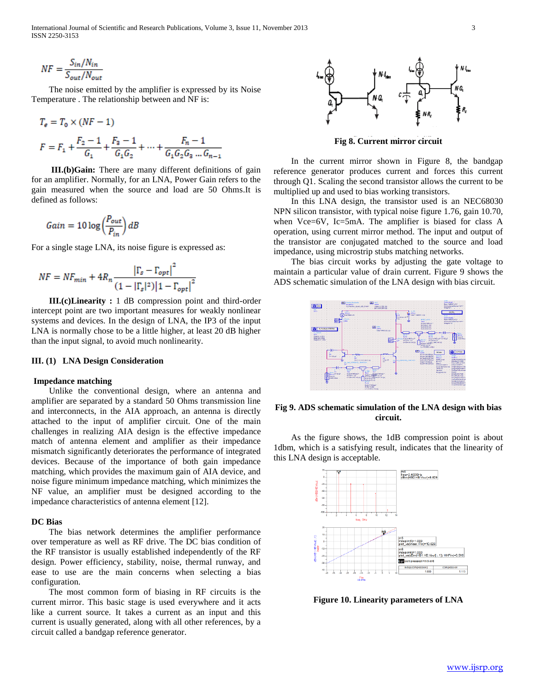International Journal of Scientific and Research Publications, Volume 3, Issue 11, November 2013 3 ISSN 2250-3153

$$
NF = \frac{S_{in}/N_{in}}{S_{out}/N_{out}}
$$

 $1.7877$ 

 The noise emitted by the amplifier is expressed by its Noise Temperature . The relationship between and NF is:

$$
I_e = I_0 \times (nr - 1)
$$
  

$$
F = F_1 + \frac{F_2 - 1}{G_1} + \frac{F_3 - 1}{G_1 G_2} + \dots + \frac{F_n - 1}{G_1 G_2 G_3 \dots G_{n-1}}
$$

 **III.(b)Gain:** There are many different definitions of gain for an amplifier. Normally, for an LNA, Power Gain refers to the gain measured when the source and load are 50 Ohms.It is defined as follows:

$$
Gain = 10 \log \left( \frac{P_{out}}{P_{in}} \right) dB
$$

For a single stage LNA, its noise figure is expressed as:

$$
NF = NF_{min} + 4R_n \frac{\left|\Gamma_s - \Gamma_{opt}\right|^2}{\left(1 - \left|\Gamma_s\right|^2\right)\left|1 - \Gamma_{opt}\right|^2}
$$

 **III.(c)Linearity :** 1 dB compression point and third-order intercept point are two important measures for weakly nonlinear systems and devices. In the design of LNA, the IP3 of the input LNA is normally chose to be a little higher, at least 20 dB higher than the input signal, to avoid much nonlinearity.

# **III. (1) LNA Design Consideration**

## **Impedance matching**

 Unlike the conventional design, where an antenna and amplifier are separated by a standard 50 Ohms transmission line and interconnects, in the AIA approach, an antenna is directly attached to the input of amplifier circuit. One of the main challenges in realizing AIA design is the effective impedance match of antenna element and amplifier as their impedance mismatch significantly deteriorates the performance of integrated devices. Because of the importance of both gain impedance matching, which provides the maximum gain of AIA device, and noise figure minimum impedance matching, which minimizes the NF value, an amplifier must be designed according to the impedance characteristics of antenna element [12].

## **DC Bias**

 The bias network determines the amplifier performance over temperature as well as RF drive. The DC bias condition of the RF transistor is usually established independently of the RF design. Power efficiency, stability, noise, thermal runway, and ease to use are the main concerns when selecting a bias configuration.

 The most common form of biasing in RF circuits is the current mirror. This basic stage is used everywhere and it acts like a current source. It takes a current as an input and this current is usually generated, along with all other references, by a circuit called a bandgap reference generator.



**Fig 8. Current mirror circuit**

 In the current mirror shown in Figure 8, the bandgap reference generator produces current and forces this current through Q1. Scaling the second transistor allows the current to be multiplied up and used to bias working transistors.

 In this LNA design, the transistor used is an NEC68030 NPN silicon transistor, with typical noise figure 1.76, gain 10.70, when Vce=6V, Ic=5mA. The amplifier is biased for class A operation, using current mirror method. The input and output of the transistor are conjugated matched to the source and load impedance, using microstrip stubs matching networks.

 The bias circuit works by adjusting the gate voltage to maintain a particular value of drain current. Figure 9 shows the ADS schematic simulation of the LNA design with bias circuit.



**Fig 9. ADS schematic simulation of the LNA design with bias circuit.**

 As the figure shows, the 1dB compression point is about 1dbm, which is a satisfying result, indicates that the linearity of this LNA design is acceptable.



**Figure 10. Linearity parameters of LNA**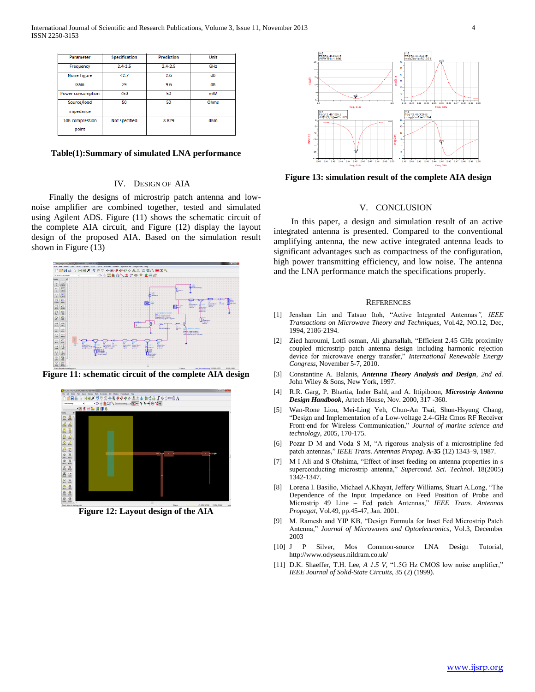| Parameter           | <b>Specification</b> | <b>Prediction</b> | Unit |
|---------------------|----------------------|-------------------|------|
| Frequency           | $24 - 25$            | $24 - 25$         | GHz  |
| <b>Noise Figure</b> | 2.7                  | 2.6               | dB   |
| Gain                | >9                   | 9.6               | dB   |
| Power consumption   | $50$                 | 50                | mW   |
| Source/load         | 50                   | 50                | Ohms |
| impedance           |                      |                   |      |
| 1dB compression     | Not specified        | 8.829             | dBm  |
| point               |                      |                   |      |

# **Table(1):Summary of simulated LNA performance**

# IV. DESIGN OF AIA

 Finally the designs of microstrip patch antenna and lownoise amplifier are combined together, tested and simulated using Agilent ADS. Figure (11) shows the schematic circuit of the complete AIA circuit, and Figure (12) display the layout design of the proposed AIA. Based on the simulation result shown in Figure (13)



**Figure 11: schematic circuit of the complete AIA design**



**Figure 12: Layout design of the AIA**



**Figure 13: simulation result of the complete AIA design**

## V. CONCLUSION

 In this paper, a design and simulation result of an active integrated antenna is presented. Compared to the conventional amplifying antenna, the new active integrated antenna leads to significant advantages such as compactness of the configuration, high power transmitting efficiency, and low noise. The antenna and the LNA performance match the specifications properly.

#### **REFERENCES**

- [1] Jenshan Lin and Tatsuo Itoh, "Active Integrated Antennas*", IEEE Transactions on Microwave Theory and Techniques*, Vol.42, NO.12, Dec, 1994, 2186-2194.
- [2] Zied haroumi, Lotfi osman, Ali gharsallah, "Efficient 2.45 GHz proximity coupled microstrip patch antenna design including harmonic rejection device for microwave energy transfer," *International Renewable Energy Congress*, November 5-7, 2010.
- [3] Constantine A. Balanis, *Antenna Theory Analysis and Design, 2nd ed.*  John Wiley & Sons, New York, 1997.
- [4] R.R. Garg, P. Bhartia, Inder Bahl, and A. Ittipiboon, *Microstrip Antenna Design Handbook*, Artech House, Nov. 2000, 317 -360.
- [5] Wan-Rone Liou, Mei-Ling Yeh, Chun-An Tsai, Shun-Hsyung Chang, "Design and Implementation of a Low-voltage 2.4-GHz Cmos RF Receiver Front-end for Wireless Communication," *Journal of marine science and technology*, 2005, 170-175.
- [6] Pozar D M and Voda S M, "A rigorous analysis of a microstripline fed patch antennas," *IEEE Trans. Antennas Propag.* **A-35** (12) 1343–9, 1987.
- [7] M I Ali and S Ohshima, "Effect of inset feeding on antenna properties in s superconducting microstrip antenna," *Supercond. Sci. Technol*. 18(2005) 1342-1347.
- [8] Lorena I. Basilio, Michael A.Khayat, Jeffery Williams, Stuart A.Long, "The Dependence of the Input Impedance on Feed Position of Probe and Microstrip 49 Line – Fed patch Antennas," *IEEE Trans. Antennas Propagat*, Vol.49, pp.45-47, Jan. 2001.
- [9] M. Ramesh and YIP KB, "Design Formula for Inset Fed Microstrip Patch Antenna," *Journal of Microwaves and Optoelectronics*, Vol.3, December 2003
- [10] J P Silver, Mos Common-source LNA Design Tutorial, http://www.odyseus.nildram.co.uk/
- [11] D.K. Shaeffer, T.H. Lee, *A 1.5 V,* "1.5G Hz CMOS low noise amplifier," *IEEE Journal of Solid-State Circuits*, 35 (2) (1999).